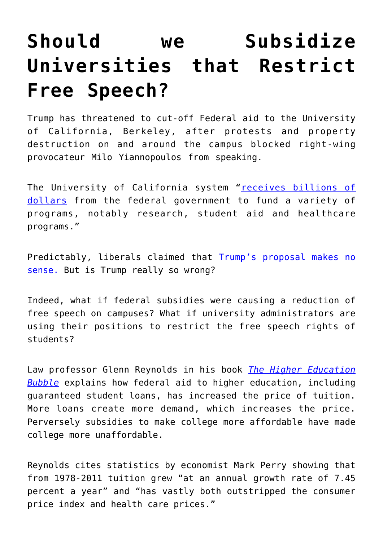## **[Should we Subsidize](https://intellectualtakeout.org/2017/02/should-we-subsidize-universities-that-restrict-free-speech/) [Universities that Restrict](https://intellectualtakeout.org/2017/02/should-we-subsidize-universities-that-restrict-free-speech/) [Free Speech?](https://intellectualtakeout.org/2017/02/should-we-subsidize-universities-that-restrict-free-speech/)**

Trump has threatened to cut-off Federal aid to the University of California, Berkeley, after protests and property destruction on and around the campus blocked right-wing provocateur Milo Yiannopoulos from speaking.

The University of California system "[receives billions of](http://www.latimes.com/local/lanow/la-me-milo-yiannopoulos-berkeley-20170201-story.html) [dollars](http://www.latimes.com/local/lanow/la-me-milo-yiannopoulos-berkeley-20170201-story.html) from the federal government to fund a variety of programs, notably research, student aid and healthcare programs."

Predictably, liberals claimed that **[Trump's proposal makes no](https://www.washingtonpost.com/news/the-fix/wp/2017/02/02/trumps-threat-to-defund-berkeley-after-protest-of-breitbart-writer-makes-no-sense/?utm_term=.e65a4687484b)** [sense.](https://www.washingtonpost.com/news/the-fix/wp/2017/02/02/trumps-threat-to-defund-berkeley-after-protest-of-breitbart-writer-makes-no-sense/?utm_term=.e65a4687484b) But is Trump really so wrong?

Indeed, what if federal subsidies were causing a reduction of free speech on campuses? What if university administrators are using their positions to restrict the free speech rights of students?

Law professor Glenn Reynolds in his book *[The Higher Education](https://www.amazon.com/Higher-Education-Bubble-Encounter-Broadside/dp/1594036659) [Bubble](https://www.amazon.com/Higher-Education-Bubble-Encounter-Broadside/dp/1594036659)* explains how federal aid to higher education, including guaranteed student loans, has increased the price of tuition. More loans create more demand, which increases the price. Perversely subsidies to make college more affordable have made college more unaffordable.

Reynolds cites statistics by economist Mark Perry showing that from 1978-2011 tuition grew "at an annual growth rate of 7.45 percent a year" and "has vastly both outstripped the consumer price index and health care prices."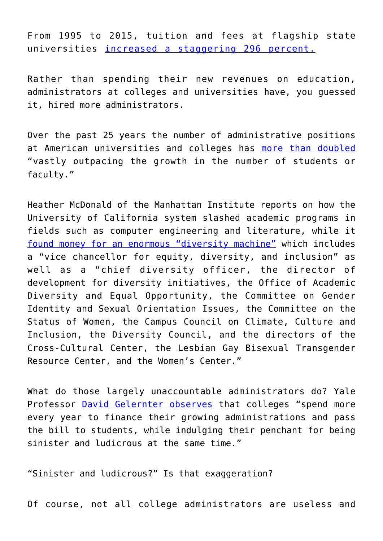From 1995 to 2015, tuition and fees at flagship state universities [increased a staggering 296 percent.](http://www.usnews.com/education/best-colleges/paying-for-college/articles/2015/07/29/chart-see-20-years-of-tuition-growth-at-national-universities)

Rather than spending their new revenues on education, administrators at colleges and universities have, you guessed it, hired more administrators.

Over the past 25 years the number of administrative positions at American universities and colleges has [more than doubled](http://www.huffingtonpost.com/2014/02/06/higher-ed-administrators-growth_n_4738584.html) "vastly outpacing the growth in the number of students or faculty."

Heather McDonald of the Manhattan Institute reports on how the University of California system slashed academic programs in fields such as computer engineering and literature, while it [found money for an enormous "diversity machine"](https://www.city-journal.org/html/less-academics-more-narcissism-10885.html) which includes a "vice chancellor for equity, diversity, and inclusion" as well as a "chief diversity officer, the director of development for diversity initiatives, the Office of Academic Diversity and Equal Opportunity, the Committee on Gender Identity and Sexual Orientation Issues, the Committee on the Status of Women, the Campus Council on Climate, Culture and Inclusion, the Diversity Council, and the directors of the Cross-Cultural Center, the Lesbian Gay Bisexual Transgender Resource Center, and the Women's Center."

What do those largely unaccountable administrators do? Yale Professor [David Gelernter observes](https://www.wsj.com/articles/a-high-tech-rebirth-from-higher-eds-ruins-1485123354) that colleges "spend more every year to finance their growing administrations and pass the bill to students, while indulging their penchant for being sinister and ludicrous at the same time."

"Sinister and ludicrous?" Is that exaggeration?

Of course, not all college administrators are useless and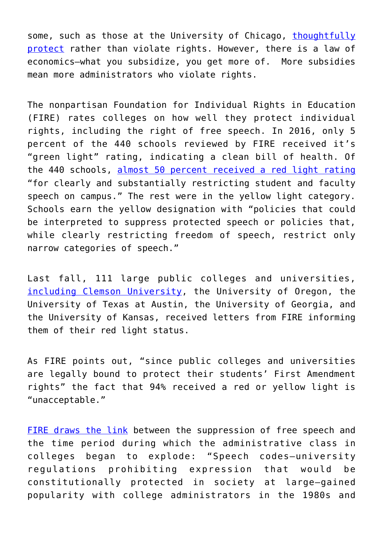some, such as those at the University of Chicago, [thoughtfully](http://brandeiscenter.com/blog/university-of-chicago-and-free-speech-on-campus/) [protect](http://brandeiscenter.com/blog/university-of-chicago-and-free-speech-on-campus/) rather than violate rights. However, there is a law of economics—what you subsidize, you get more of. More subsidies mean more administrators who violate rights.

The nonpartisan Foundation for Individual Rights in Education (FIRE) rates colleges on how well they protect individual rights, including the right of free speech. In 2016, only 5 percent of the 440 schools reviewed by FIRE received it's "green light" rating, indicating a clean bill of health. Of the 440 schools, [almost 50 percent received a red light rating](https://www.thefire.org/spotlight-on-speech-codes-2016/) "for clearly and substantially restricting student and faculty speech on campus." The rest were in the yellow light category. Schools earn the yellow designation with "policies that could be interpreted to suppress protected speech or policies that, while clearly restricting freedom of speech, restrict only narrow categories of speech."

Last fall, 111 large public colleges and universities, [including Clemson University,](https://www.thefire.org/fire-letter-to-clemson-university-november-1-2016/) the University of Oregon, the University of Texas at Austin, the University of Georgia, and the University of Kansas, received letters from FIRE informing them of their red light status.

As FIRE points out, "since public colleges and universities are legally bound to protect their students' First Amendment rights" the fact that 94% received a red or yellow light is "unacceptable."

[FIRE draws the link](https://www.thefire.org/spotlight-on-speech-codes-2016/) between the suppression of free speech and the time period during which the administrative class in colleges began to explode: "Speech codes—university regulations prohibiting expression that would be constitutionally protected in society at large—gained popularity with college administrators in the 1980s and